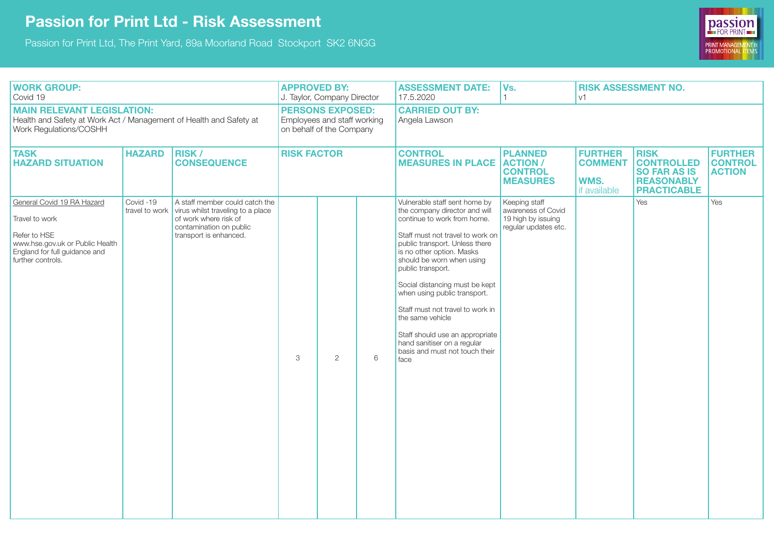## **Passion for Print Ltd - Risk Assessment**

Passion for Print Ltd, The Print Yard, 89a Moorland Road Stockport SK2 6NGG



| <b>WORK GROUP:</b><br>Covid 19                                                                                                                        |                            |                                                                                                                                                   | <b>APPROVED BY:</b><br>J. Taylor, Company Director                                 |                       |   | <b>ASSESSMENT DATE:</b><br>17.5.2020                                                                                                                                                                                                                                                                                                                                                                                                                                                     | Vs.                                                                               | <b>RISK ASSESSMENT NO.</b><br>V <sub>1</sub>             |                                                                                                    |                                                   |  |
|-------------------------------------------------------------------------------------------------------------------------------------------------------|----------------------------|---------------------------------------------------------------------------------------------------------------------------------------------------|------------------------------------------------------------------------------------|-----------------------|---|------------------------------------------------------------------------------------------------------------------------------------------------------------------------------------------------------------------------------------------------------------------------------------------------------------------------------------------------------------------------------------------------------------------------------------------------------------------------------------------|-----------------------------------------------------------------------------------|----------------------------------------------------------|----------------------------------------------------------------------------------------------------|---------------------------------------------------|--|
| <b>MAIN RELEVANT LEGISLATION:</b><br>Health and Safety at Work Act / Management of Health and Safety at<br>Work Regulations/COSHH                     |                            |                                                                                                                                                   | <b>PERSONS EXPOSED:</b><br>Employees and staff working<br>on behalf of the Company |                       |   | <b>CARRIED OUT BY:</b><br>Angela Lawson                                                                                                                                                                                                                                                                                                                                                                                                                                                  |                                                                                   |                                                          |                                                                                                    |                                                   |  |
| <b>TASK</b><br><b>HAZARD SITUATION</b>                                                                                                                | <b>HAZARD</b>              | RISK/<br><b>CONSEQUENCE</b>                                                                                                                       | <b>RISK FACTOR</b>                                                                 |                       |   | <b>CONTROL</b><br><b>MEASURES IN PLACE</b>                                                                                                                                                                                                                                                                                                                                                                                                                                               | <b>PLANNED</b><br><b>ACTION /</b><br><b>CONTROL</b><br><b>MEASURES</b>            | <b>FURTHER</b><br><b>COMMENT</b><br>WMS.<br>if available | <b>RISK</b><br><b>CONTROLLED</b><br><b>SO FAR AS IS</b><br><b>REASONABLY</b><br><b>PRACTICABLE</b> | <b>FURTHER</b><br><b>CONTROL</b><br><b>ACTION</b> |  |
| General Covid 19 RA Hazard<br>Travel to work<br>Refer to HSE<br>www.hse.gov.uk or Public Health<br>England for full guidance and<br>further controls. | Covid-19<br>travel to work | A staff member could catch the<br>virus whilst traveling to a place<br>of work where risk of<br>contamination on public<br>transport is enhanced. | 3                                                                                  | $\mathbf{2}^{\prime}$ | 6 | Vulnerable staff sent home by<br>the company director and will<br>continue to work from home.<br>Staff must not travel to work on<br>public transport. Unless there<br>is no other option. Masks<br>should be worn when using<br>public transport.<br>Social distancing must be kept<br>when using public transport.<br>Staff must not travel to work in<br>the same vehicle<br>Staff should use an appropriate<br>hand sanitiser on a regular<br>basis and must not touch their<br>face | Keeping staff<br>awareness of Covid<br>19 high by issuing<br>regular updates etc. |                                                          | Yes                                                                                                | Yes                                               |  |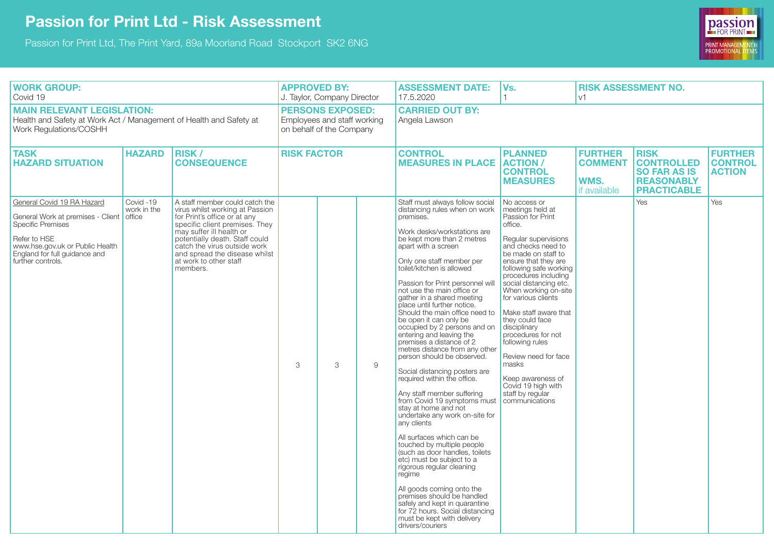## **Passion for Print Ltd - Risk Assessment**

Passion for Print Ltd, The Print Yard, 89a Moorland Road Stockport SK2 6NG



| <b>WORK GROUP:</b><br>Covid 19                                                                                                                                                                              |                          |                                                                                                                                                                                                                                                                                                          | <b>APPROVED BY:</b><br>J. Taylor, Company Director                                 |   |   | <b>ASSESSMENT DATE:</b><br>17.5.2020                                                                                                                                                                                                                                                                                                                                                                                                                                                                                                                                                                                                                                                                                                                                                                                                                                                                                                                                                                                                                                                                                                   | Vs.                                                                                                                                                                                                                                                                                                                                                                                                                                                                                                             | <b>RISK ASSESSMENT NO.</b><br>V <sup>1</sup>                           |                                                                                                    |                                                   |  |
|-------------------------------------------------------------------------------------------------------------------------------------------------------------------------------------------------------------|--------------------------|----------------------------------------------------------------------------------------------------------------------------------------------------------------------------------------------------------------------------------------------------------------------------------------------------------|------------------------------------------------------------------------------------|---|---|----------------------------------------------------------------------------------------------------------------------------------------------------------------------------------------------------------------------------------------------------------------------------------------------------------------------------------------------------------------------------------------------------------------------------------------------------------------------------------------------------------------------------------------------------------------------------------------------------------------------------------------------------------------------------------------------------------------------------------------------------------------------------------------------------------------------------------------------------------------------------------------------------------------------------------------------------------------------------------------------------------------------------------------------------------------------------------------------------------------------------------------|-----------------------------------------------------------------------------------------------------------------------------------------------------------------------------------------------------------------------------------------------------------------------------------------------------------------------------------------------------------------------------------------------------------------------------------------------------------------------------------------------------------------|------------------------------------------------------------------------|----------------------------------------------------------------------------------------------------|---------------------------------------------------|--|
| <b>MAIN RELEVANT LEGISLATION:</b><br>Health and Safety at Work Act / Management of Health and Safety at<br>Work Regulations/COSHH                                                                           |                          |                                                                                                                                                                                                                                                                                                          | <b>PERSONS EXPOSED:</b><br>Employees and staff working<br>on behalf of the Company |   |   | <b>CARRIED OUT BY:</b><br>Angela Lawson                                                                                                                                                                                                                                                                                                                                                                                                                                                                                                                                                                                                                                                                                                                                                                                                                                                                                                                                                                                                                                                                                                |                                                                                                                                                                                                                                                                                                                                                                                                                                                                                                                 |                                                                        |                                                                                                    |                                                   |  |
| <b>TASK</b><br><b>HAZARD SITUATION</b>                                                                                                                                                                      | <b>HAZARD</b>            | <b>RISK /</b><br><b>CONSEQUENCE</b>                                                                                                                                                                                                                                                                      | <b>RISK FACTOR</b>                                                                 |   |   | <b>CONTROL</b><br><b>MEASURES IN PLACE</b>                                                                                                                                                                                                                                                                                                                                                                                                                                                                                                                                                                                                                                                                                                                                                                                                                                                                                                                                                                                                                                                                                             | <b>PLANNED</b><br><b>ACTION /</b><br><b>CONTROL</b><br><b>MEASURES</b>                                                                                                                                                                                                                                                                                                                                                                                                                                          | <b>FURTHER</b><br><b>COMMENT</b><br><b>WMS.</b><br><b>if</b> available | <b>RISK</b><br><b>CONTROLLED</b><br><b>SO FAR AS IS</b><br><b>REASONABLY</b><br><b>PRACTICABLE</b> | <b>FURTHER</b><br><b>CONTROL</b><br><b>ACTION</b> |  |
| General Covid 19 RA Hazard<br>General Work at premises - Client office<br><b>Specific Premises</b><br>Refer to HSE<br>www.hse.gov.uk or Public Health<br>England for full guidance and<br>further controls. | Covid -19<br>work in the | A staff member could catch the<br>virus whilst working at Passion<br>for Print's office or at any<br>specific client premises. They<br>may suffer ill health or<br>potentially death. Staff could<br>catch the virus outside work<br>and spread the disease whilst<br>at work to other staff<br>members. | 3                                                                                  | 3 | 9 | Staff must always follow social<br>distancing rules when on work<br>premises.<br>Work desks/workstations are<br>be kept more than 2 metres<br>apart with a screen<br>Only one staff member per<br>toilet/kitchen is allowed<br>Passion for Print personnel will<br>not use the main office or<br>gather in a shared meeting<br>place until further notice.<br>Should the main office need to<br>be open it can only be<br>occupied by 2 persons and on<br>entering and leaving the<br>premises a distance of 2<br>metres distance from any other<br>person should be observed.<br>Social distancing posters are<br>required within the office.<br>Any staff member suffering<br>from Covid 19 symptoms must<br>stay at home and not<br>undertake any work on-site for<br>any clients<br>All surfaces which can be<br>touched by multiple people<br>(such as door handles, toilets<br>etc) must be subject to a<br>rigorous regular cleaning<br>regime<br>All goods coming onto the<br>premises should be handled<br>safely and kept in quarantine<br>for 72 hours. Social distancing<br>must be kept with delivery<br>drivers/couriers | No access or<br>meetings held at<br>Passion for Print<br>office.<br>Regular supervisions<br>and checks need to<br>be made on staff to<br>ensure that they are<br>following safe working<br>procedures including<br>social distancing etc.<br>When working on-site<br>for various clients<br>Make staff aware that<br>they could face<br>disciplinary<br>procedures for not<br>following rules<br>Review need for face<br>masks<br>Keep awareness of<br>Covid 19 high with<br>staff by reqular<br>communications |                                                                        | <b>Yes</b>                                                                                         | Yes                                               |  |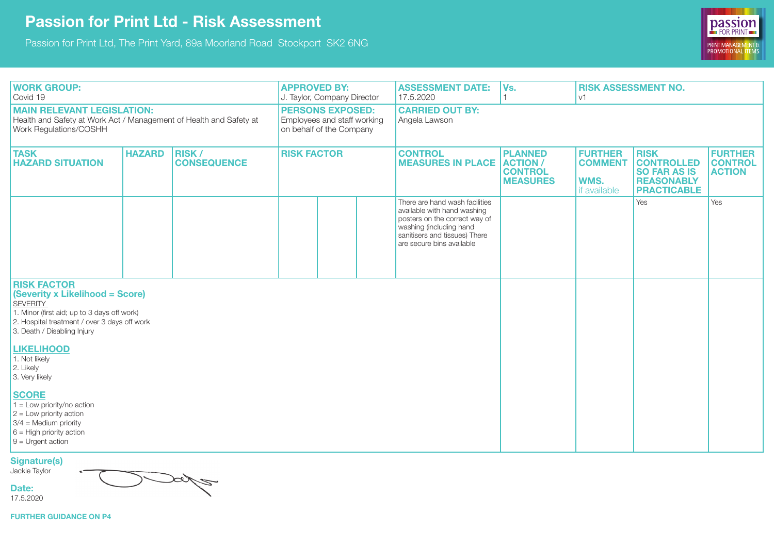## **Passion for Print Ltd - Risk Assessment**

Passion for Print Ltd, The Print Yard, 89a Moorland Road Stockport SK2 6NG



| <b>WORK GROUP:</b><br>Covid 19                                                                                                                                                                         |               |                                    | <b>APPROVED BY:</b><br>J. Taylor, Company Director                                 |  |  | <b>ASSESSMENT DATE:</b><br>17.5.2020                                                                                                                                                    | Vs.                                                                    | <b>RISK ASSESSMENT NO.</b><br>V <sub>1</sub>             |                                                                                                    |                                                   |
|--------------------------------------------------------------------------------------------------------------------------------------------------------------------------------------------------------|---------------|------------------------------------|------------------------------------------------------------------------------------|--|--|-----------------------------------------------------------------------------------------------------------------------------------------------------------------------------------------|------------------------------------------------------------------------|----------------------------------------------------------|----------------------------------------------------------------------------------------------------|---------------------------------------------------|
| <b>MAIN RELEVANT LEGISLATION:</b><br>Health and Safety at Work Act / Management of Health and Safety at<br>Work Regulations/COSHH                                                                      |               |                                    | <b>PERSONS EXPOSED:</b><br>Employees and staff working<br>on behalf of the Company |  |  | <b>CARRIED OUT BY:</b><br>Angela Lawson                                                                                                                                                 |                                                                        |                                                          |                                                                                                    |                                                   |
| <b>TASK</b><br><b>HAZARD SITUATION</b>                                                                                                                                                                 | <b>HAZARD</b> | <b>RISK/</b><br><b>CONSEQUENCE</b> | <b>RISK FACTOR</b>                                                                 |  |  | <b>CONTROL</b><br><b>MEASURES IN PLACE</b>                                                                                                                                              | <b>PLANNED</b><br><b>ACTION /</b><br><b>CONTROL</b><br><b>MEASURES</b> | <b>FURTHER</b><br><b>COMMENT</b><br>WMS.<br>if available | <b>RISK</b><br><b>CONTROLLED</b><br><b>SO FAR AS IS</b><br><b>REASONABLY</b><br><b>PRACTICABLE</b> | <b>FURTHER</b><br><b>CONTROL</b><br><b>ACTION</b> |
|                                                                                                                                                                                                        |               |                                    |                                                                                    |  |  | There are hand wash facilities<br>available with hand washing<br>posters on the correct way of<br>washing (including hand<br>sanitisers and tissues) There<br>are secure bins available |                                                                        |                                                          | Yes                                                                                                | Yes                                               |
| <b>RISK FACTOR</b><br>(Severity x Likelihood = Score)<br><b>SEVERITY</b><br>1. Minor (first aid; up to 3 days off work)<br>2. Hospital treatment / over 3 days off work<br>3. Death / Disabling Injury |               |                                    |                                                                                    |  |  |                                                                                                                                                                                         |                                                                        |                                                          |                                                                                                    |                                                   |
| <b>LIKELIHOOD</b><br>1. Not likely<br>2. Likely<br>3. Very likely                                                                                                                                      |               |                                    |                                                                                    |  |  |                                                                                                                                                                                         |                                                                        |                                                          |                                                                                                    |                                                   |
| <b>SCORE</b><br>$1 =$ Low priority/no action<br>$2 =$ Low priority action<br>$3/4$ = Medium priority<br>$6$ = High priority action<br>$9$ = Urgent action                                              |               |                                    |                                                                                    |  |  |                                                                                                                                                                                         |                                                                        |                                                          |                                                                                                    |                                                   |

**Signature(s)** 

Jackie Taylor

**Date:** 17.5.2020

**Sylva** 

**FURTHER GUIDANCE ON P4**